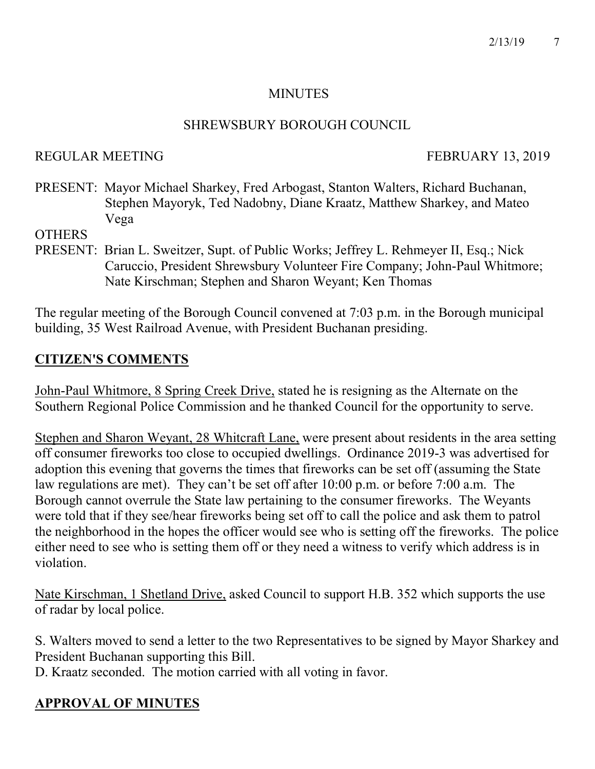#### MINUTES

#### SHREWSBURY BOROUGH COUNCIL

#### REGULAR MEETING FEBRUARY 13, 2019

PRESENT: Mayor Michael Sharkey, Fred Arbogast, Stanton Walters, Richard Buchanan, Stephen Mayoryk, Ted Nadobny, Diane Kraatz, Matthew Sharkey, and Mateo Vega

**OTHERS** 

PRESENT: Brian L. Sweitzer, Supt. of Public Works; Jeffrey L. Rehmeyer II, Esq.; Nick Caruccio, President Shrewsbury Volunteer Fire Company; John-Paul Whitmore; Nate Kirschman; Stephen and Sharon Weyant; Ken Thomas

The regular meeting of the Borough Council convened at 7:03 p.m. in the Borough municipal building, 35 West Railroad Avenue, with President Buchanan presiding.

# CITIZEN'S COMMENTS

John-Paul Whitmore, 8 Spring Creek Drive, stated he is resigning as the Alternate on the Southern Regional Police Commission and he thanked Council for the opportunity to serve.

Stephen and Sharon Weyant, 28 Whitcraft Lane, were present about residents in the area setting off consumer fireworks too close to occupied dwellings. Ordinance 2019-3 was advertised for adoption this evening that governs the times that fireworks can be set off (assuming the State law regulations are met). They can't be set off after 10:00 p.m. or before 7:00 a.m. The Borough cannot overrule the State law pertaining to the consumer fireworks. The Weyants were told that if they see/hear fireworks being set off to call the police and ask them to patrol the neighborhood in the hopes the officer would see who is setting off the fireworks. The police either need to see who is setting them off or they need a witness to verify which address is in violation.

Nate Kirschman, 1 Shetland Drive, asked Council to support H.B. 352 which supports the use of radar by local police.

S. Walters moved to send a letter to the two Representatives to be signed by Mayor Sharkey and President Buchanan supporting this Bill.

D. Kraatz seconded. The motion carried with all voting in favor.

# APPROVAL OF MINUTES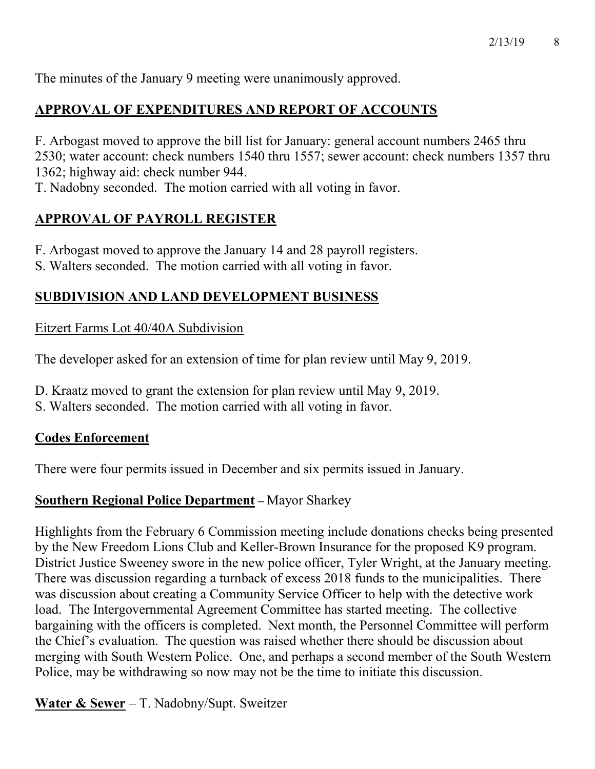The minutes of the January 9 meeting were unanimously approved.

# APPROVAL OF EXPENDITURES AND REPORT OF ACCOUNTS

F. Arbogast moved to approve the bill list for January: general account numbers 2465 thru 2530; water account: check numbers 1540 thru 1557; sewer account: check numbers 1357 thru 1362; highway aid: check number 944.

T. Nadobny seconded. The motion carried with all voting in favor.

# APPROVAL OF PAYROLL REGISTER

F. Arbogast moved to approve the January 14 and 28 payroll registers.

S. Walters seconded. The motion carried with all voting in favor.

# SUBDIVISION AND LAND DEVELOPMENT BUSINESS

# Eitzert Farms Lot 40/40A Subdivision

The developer asked for an extension of time for plan review until May 9, 2019.

- D. Kraatz moved to grant the extension for plan review until May 9, 2019.
- S. Walters seconded. The motion carried with all voting in favor.

# Codes Enforcement

There were four permits issued in December and six permits issued in January.

# Southern Regional Police Department – Mayor Sharkey

Highlights from the February 6 Commission meeting include donations checks being presented by the New Freedom Lions Club and Keller-Brown Insurance for the proposed K9 program. District Justice Sweeney swore in the new police officer, Tyler Wright, at the January meeting. There was discussion regarding a turnback of excess 2018 funds to the municipalities. There was discussion about creating a Community Service Officer to help with the detective work load. The Intergovernmental Agreement Committee has started meeting. The collective bargaining with the officers is completed. Next month, the Personnel Committee will perform the Chief's evaluation. The question was raised whether there should be discussion about merging with South Western Police. One, and perhaps a second member of the South Western Police, may be withdrawing so now may not be the time to initiate this discussion.

**Water & Sewer** – T. Nadobny/Supt. Sweitzer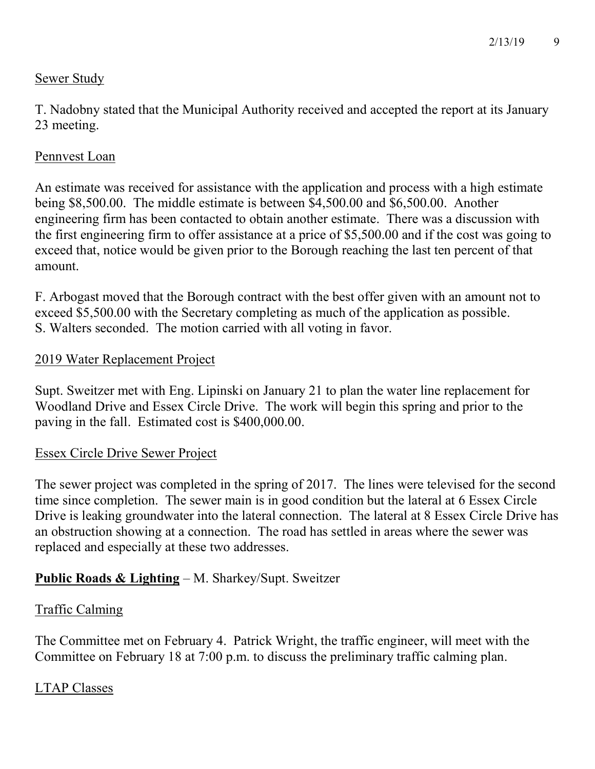# Sewer Study

T. Nadobny stated that the Municipal Authority received and accepted the report at its January 23 meeting.

### Pennvest Loan

An estimate was received for assistance with the application and process with a high estimate being \$8,500.00. The middle estimate is between \$4,500.00 and \$6,500.00. Another engineering firm has been contacted to obtain another estimate. There was a discussion with the first engineering firm to offer assistance at a price of \$5,500.00 and if the cost was going to exceed that, notice would be given prior to the Borough reaching the last ten percent of that amount.

F. Arbogast moved that the Borough contract with the best offer given with an amount not to exceed \$5,500.00 with the Secretary completing as much of the application as possible. S. Walters seconded. The motion carried with all voting in favor.

#### 2019 Water Replacement Project

Supt. Sweitzer met with Eng. Lipinski on January 21 to plan the water line replacement for Woodland Drive and Essex Circle Drive. The work will begin this spring and prior to the paving in the fall. Estimated cost is \$400,000.00.

#### Essex Circle Drive Sewer Project

The sewer project was completed in the spring of 2017. The lines were televised for the second time since completion. The sewer main is in good condition but the lateral at 6 Essex Circle Drive is leaking groundwater into the lateral connection. The lateral at 8 Essex Circle Drive has an obstruction showing at a connection. The road has settled in areas where the sewer was replaced and especially at these two addresses.

# Public Roads & Lighting – M. Sharkey/Supt. Sweitzer

# Traffic Calming

The Committee met on February 4. Patrick Wright, the traffic engineer, will meet with the Committee on February 18 at 7:00 p.m. to discuss the preliminary traffic calming plan.

# LTAP Classes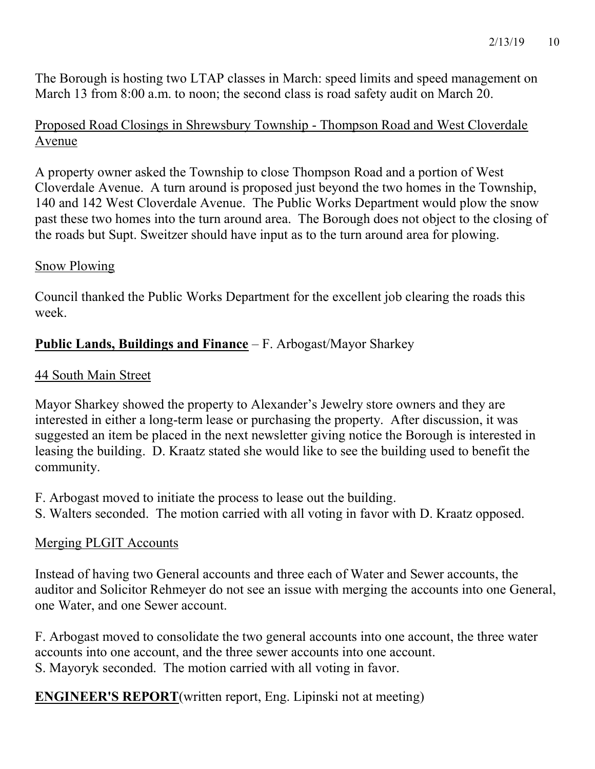The Borough is hosting two LTAP classes in March: speed limits and speed management on March 13 from 8:00 a.m. to noon; the second class is road safety audit on March 20.

# Proposed Road Closings in Shrewsbury Township - Thompson Road and West Cloverdale Avenue

A property owner asked the Township to close Thompson Road and a portion of West Cloverdale Avenue. A turn around is proposed just beyond the two homes in the Township, 140 and 142 West Cloverdale Avenue. The Public Works Department would plow the snow past these two homes into the turn around area. The Borough does not object to the closing of the roads but Supt. Sweitzer should have input as to the turn around area for plowing.

### Snow Plowing

Council thanked the Public Works Department for the excellent job clearing the roads this week.

# Public Lands, Buildings and Finance – F. Arbogast/Mayor Sharkey

### 44 South Main Street

Mayor Sharkey showed the property to Alexander's Jewelry store owners and they are interested in either a long-term lease or purchasing the property. After discussion, it was suggested an item be placed in the next newsletter giving notice the Borough is interested in leasing the building. D. Kraatz stated she would like to see the building used to benefit the community.

- F. Arbogast moved to initiate the process to lease out the building.
- S. Walters seconded. The motion carried with all voting in favor with D. Kraatz opposed.

# Merging PLGIT Accounts

Instead of having two General accounts and three each of Water and Sewer accounts, the auditor and Solicitor Rehmeyer do not see an issue with merging the accounts into one General, one Water, and one Sewer account.

F. Arbogast moved to consolidate the two general accounts into one account, the three water accounts into one account, and the three sewer accounts into one account. S. Mayoryk seconded. The motion carried with all voting in favor.

ENGINEER'S REPORT(written report, Eng. Lipinski not at meeting)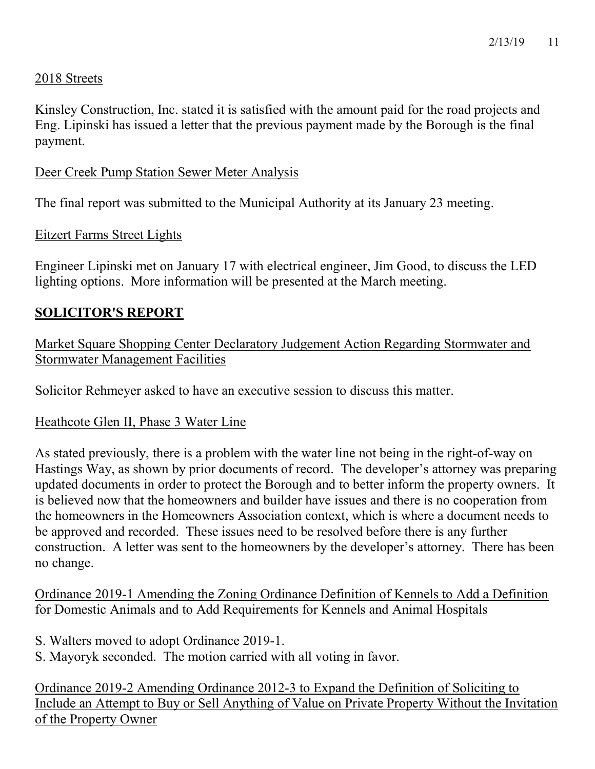#### 2018 Streets

Kinsley Construction, Inc. stated it is satisfied with the amount paid for the road projects and Eng. Lipinski has issued a letter that the previous payment made by the Borough is the final payment.

#### Deer Creek Pump Station Sewer Meter Analysis

The final report was submitted to the Municipal Authority at its January 23 meeting.

#### Eitzert Farms Street Lights

Engineer Lipinski met on January 17 with electrical engineer, Jim Good, to discuss the LED lighting options. More information will be presented at the March meeting.

### SOLICITOR'S REPORT

Market Square Shopping Center Declaratory Judgement Action Regarding Stormwater and Stormwater Management Facilities

Solicitor Rehmeyer asked to have an executive session to discuss this matter.

#### Heathcote Glen II, Phase 3 Water Line

As stated previously, there is a problem with the water line not being in the right-of-way on Hastings Way, as shown by prior documents of record. The developer's attorney was preparing updated documents in order to protect the Borough and to better inform the property owners. It is believed now that the homeowners and builder have issues and there is no cooperation from the homeowners in the Homeowners Association context, which is where a document needs to be approved and recorded. These issues need to be resolved before there is any further construction. A letter was sent to the homeowners by the developer's attorney. There has been no change.

Ordinance 2019-1 Amending the Zoning Ordinance Definition of Kennels to Add a Definition for Domestic Animals and to Add Requirements for Kennels and Animal Hospitals

- S. Walters moved to adopt Ordinance 2019-1.
- S. Mayoryk seconded. The motion carried with all voting in favor.

Ordinance 2019-2 Amending Ordinance 2012-3 to Expand the Definition of Soliciting to Include an Attempt to Buy or Sell Anything of Value on Private Property Without the Invitation of the Property Owner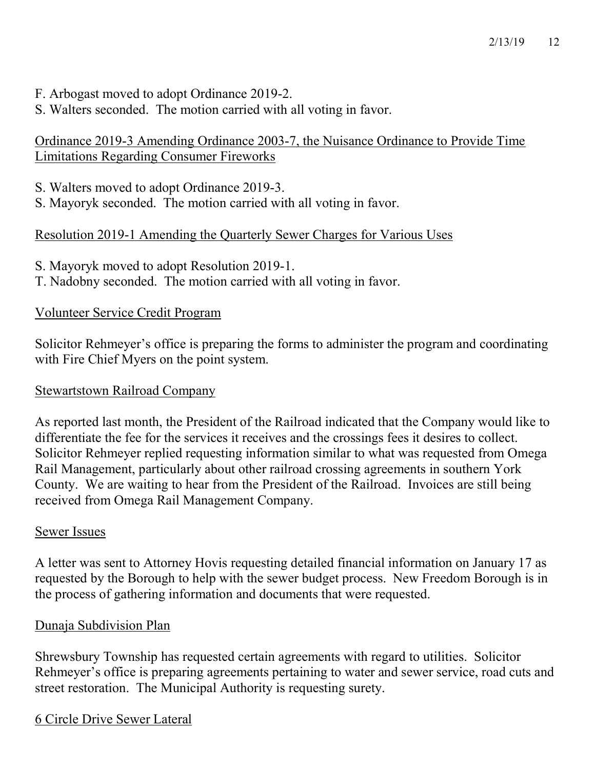- F. Arbogast moved to adopt Ordinance 2019-2.
- S. Walters seconded. The motion carried with all voting in favor.

# Ordinance 2019-3 Amending Ordinance 2003-7, the Nuisance Ordinance to Provide Time Limitations Regarding Consumer Fireworks

- S. Walters moved to adopt Ordinance 2019-3.
- S. Mayoryk seconded. The motion carried with all voting in favor.

# Resolution 2019-1 Amending the Quarterly Sewer Charges for Various Uses

- S. Mayoryk moved to adopt Resolution 2019-1.
- T. Nadobny seconded. The motion carried with all voting in favor.

# Volunteer Service Credit Program

Solicitor Rehmeyer's office is preparing the forms to administer the program and coordinating with Fire Chief Myers on the point system.

# Stewartstown Railroad Company

As reported last month, the President of the Railroad indicated that the Company would like to differentiate the fee for the services it receives and the crossings fees it desires to collect. Solicitor Rehmeyer replied requesting information similar to what was requested from Omega Rail Management, particularly about other railroad crossing agreements in southern York County. We are waiting to hear from the President of the Railroad. Invoices are still being received from Omega Rail Management Company.

# Sewer Issues

A letter was sent to Attorney Hovis requesting detailed financial information on January 17 as requested by the Borough to help with the sewer budget process. New Freedom Borough is in the process of gathering information and documents that were requested.

# Dunaja Subdivision Plan

Shrewsbury Township has requested certain agreements with regard to utilities. Solicitor Rehmeyer's office is preparing agreements pertaining to water and sewer service, road cuts and street restoration. The Municipal Authority is requesting surety.

# 6 Circle Drive Sewer Lateral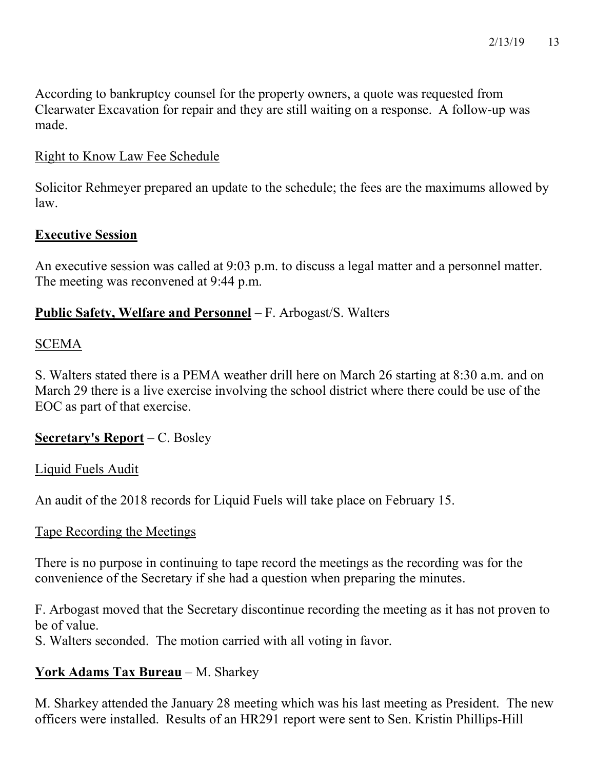According to bankruptcy counsel for the property owners, a quote was requested from Clearwater Excavation for repair and they are still waiting on a response. A follow-up was made.

#### Right to Know Law Fee Schedule

Solicitor Rehmeyer prepared an update to the schedule; the fees are the maximums allowed by law.

#### Executive Session

An executive session was called at 9:03 p.m. to discuss a legal matter and a personnel matter. The meeting was reconvened at 9:44 p.m.

### Public Safety, Welfare and Personnel – F. Arbogast/S. Walters

### SCEMA

S. Walters stated there is a PEMA weather drill here on March 26 starting at 8:30 a.m. and on March 29 there is a live exercise involving the school district where there could be use of the EOC as part of that exercise.

#### Secretary's Report – C. Bosley

#### Liquid Fuels Audit

An audit of the 2018 records for Liquid Fuels will take place on February 15.

#### Tape Recording the Meetings

There is no purpose in continuing to tape record the meetings as the recording was for the convenience of the Secretary if she had a question when preparing the minutes.

F. Arbogast moved that the Secretary discontinue recording the meeting as it has not proven to be of value.

S. Walters seconded. The motion carried with all voting in favor.

# York Adams Tax Bureau – M. Sharkey

M. Sharkey attended the January 28 meeting which was his last meeting as President. The new officers were installed. Results of an HR291 report were sent to Sen. Kristin Phillips-Hill